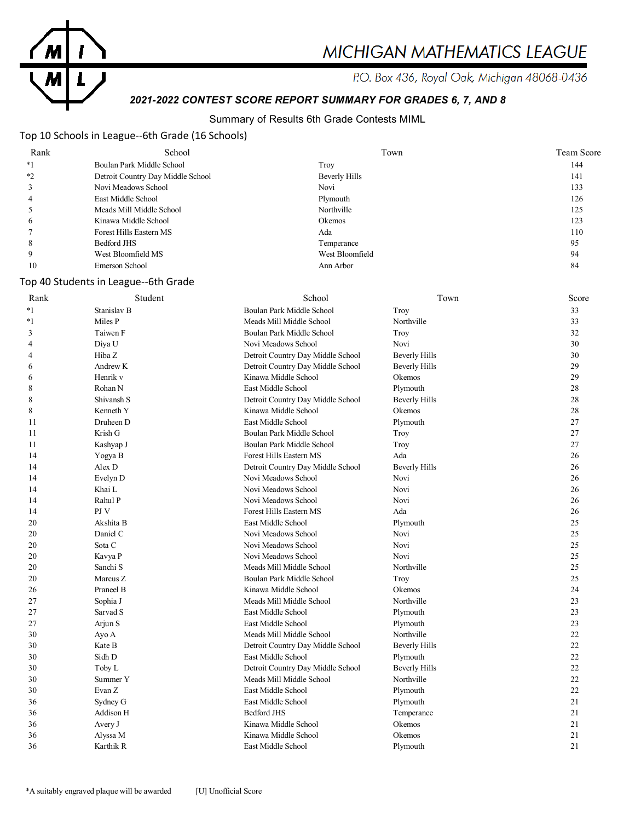

# **MICHIGAN MATHEMATICS LEAGUE**

P.O. Box 436, Royal Oak, Michigan 48068-0436

# *2021-2022 CONTEST SCORE REPORT SUMMARY FOR GRADES 6, 7, AND 8*

### Summary of Results 6th Grade Contests MIML

### Top 10 Schools in League--6th Grade (16 Schools)

| Rank    | School                            | Town                 | Team Score |
|---------|-----------------------------------|----------------------|------------|
| $*1$    | Boulan Park Middle School         | Troy                 | 144        |
| $*_{2}$ | Detroit Country Day Middle School | <b>Beverly Hills</b> | 141        |
|         | Novi Meadows School               | Novi                 | 133        |
| 4       | East Middle School                | Plymouth             | 126        |
|         | Meads Mill Middle School          | Northville           | 125        |
| 6       | Kinawa Middle School              | Okemos               | 123        |
|         | Forest Hills Eastern MS           | Ada                  | 110        |
| 8       | Bedford JHS                       | Temperance           | 95         |
| 9       | West Bloomfield MS                | West Bloomfield      | 94         |
| 10      | Emerson School                    | Ann Arbor            | 84         |

### Top 40 Students in League--6th Grade

| Rank  | Student     | School                            | Town                 | Score |
|-------|-------------|-----------------------------------|----------------------|-------|
| *1    | Stanislav B | Boulan Park Middle School         | Troy                 | 33    |
| $^*1$ | Miles P     | Meads Mill Middle School          | Northville           | 33    |
| 3     | Taiwen F    | Boulan Park Middle School         | Troy                 | 32    |
| 4     | Diya U      | Novi Meadows School               | <b>Novi</b>          | 30    |
| 4     | Hiba Z      | Detroit Country Day Middle School | <b>Beverly Hills</b> | 30    |
| 6     | Andrew K    | Detroit Country Day Middle School | <b>Beverly Hills</b> | 29    |
| 6     | Henrik v    | Kinawa Middle School              | Okemos               | 29    |
| 8     | Rohan N     | East Middle School                | Plymouth             | 28    |
| 8     | Shivansh S  | Detroit Country Day Middle School | <b>Beverly Hills</b> | 28    |
| 8     | Kenneth Y   | Kinawa Middle School              | Okemos               | 28    |
| 11    | Druheen D   | East Middle School                | Plymouth             | 27    |
| 11    | Krish G     | Boulan Park Middle School         | Troy                 | 27    |
| 11    | Kashyap J   | Boulan Park Middle School         | Troy                 | 27    |
| 14    | Yogya B     | Forest Hills Eastern MS           | Ada                  | 26    |
| 14    | Alex D      | Detroit Country Day Middle School | <b>Beverly Hills</b> | 26    |
| 14    | Evelyn D    | Novi Meadows School               | Novi                 | 26    |
| 14    | Khai L      | Novi Meadows School               | Novi                 | 26    |
| 14    | Rahul P     | Novi Meadows School               | Novi                 | 26    |
| 14    | PJ V        | Forest Hills Eastern MS           | Ada                  | 26    |
| 20    | Akshita B   | East Middle School                | Plymouth             | 25    |
| 20    | Daniel C    | Novi Meadows School               | Novi                 | 25    |
| 20    | Sota C      | Novi Meadows School               | Novi                 | 25    |
| 20    | Kavya P     | Novi Meadows School               | Novi                 | 25    |
| 20    | Sanchi S    | Meads Mill Middle School          | Northville           | 25    |
| 20    | Marcus Z    | Boulan Park Middle School         | Troy                 | 25    |
| 26    | Praneel B   | Kinawa Middle School              | Okemos               | 24    |
| 27    | Sophia J    | Meads Mill Middle School          | Northville           | 23    |
| 27    | Sarvad S    | East Middle School                | Plymouth             | 23    |
| 27    | Arjun S     | East Middle School                | Plymouth             | 23    |
| 30    | Ayo A       | Meads Mill Middle School          | Northville           | 22    |
| 30    | Kate B      | Detroit Country Day Middle School | <b>Beverly Hills</b> | 22    |
| 30    | Sidh D      | East Middle School                | Plymouth             | 22    |
| 30    | Toby L      | Detroit Country Day Middle School | <b>Beverly Hills</b> | 22    |
| 30    | Summer Y    | Meads Mill Middle School          | Northville           | 22    |
| 30    | Evan Z      | East Middle School                | Plymouth             | 22    |
| 36    | Sydney G    | East Middle School                | Plymouth             | 21    |
| 36    | Addison H   | <b>Bedford JHS</b>                | Temperance           | 21    |
| 36    | Avery J     | Kinawa Middle School              | Okemos               | 21    |
| 36    | Alyssa M    | Kinawa Middle School              | Okemos               | 21    |
| 36    | Karthik R   | East Middle School                | Plymouth             | 21    |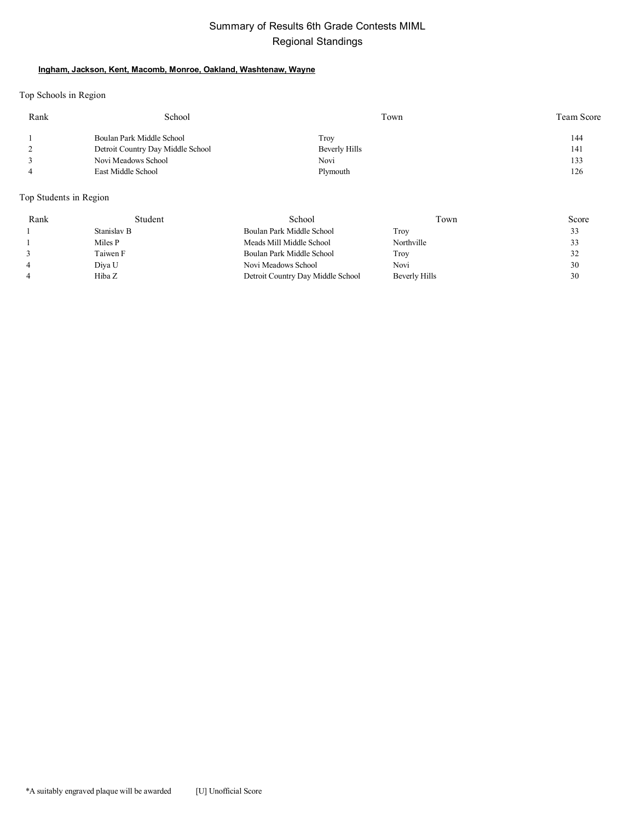### Summary of Results 6th Grade Contests MIML Regional Standings

#### **Ingham, Jackson, Kent, Macomb, Monroe, Oakland, Washtenaw, Wayne**

Top Schools in Region

| Rank | School                            | Town          | Team Score |
|------|-----------------------------------|---------------|------------|
|      | Boulan Park Middle School         | Troy          | 144        |
|      | Detroit Country Day Middle School | Beverly Hills | 141        |
|      | Novi Meadows School               | Novi          | 133        |
|      | East Middle School                | Plymouth      | 126        |

Top Students in Region

| Rank | Student     | School                            | Town          | Score |
|------|-------------|-----------------------------------|---------------|-------|
|      | Stanislav B | Boulan Park Middle School         | Troy          | 33    |
|      | Miles P     | Meads Mill Middle School          | Northville    | 33    |
|      | Taiwen F    | Boulan Park Middle School         | Troy          | 32    |
|      | Diya U      | Novi Meadows School               | Novi          | 30    |
|      | Hiba Z      | Detroit Country Day Middle School | Beverly Hills | 30    |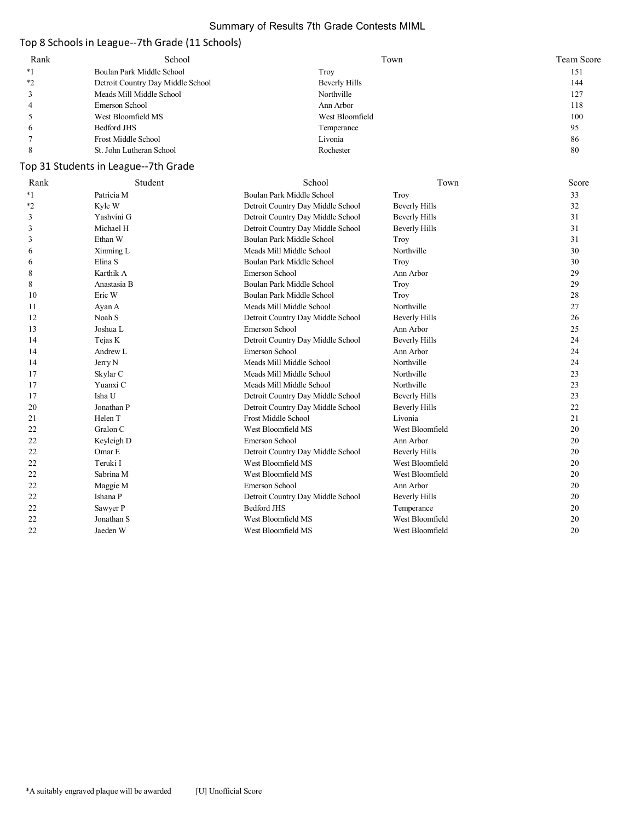### Summary of Results 7th Grade Contests MIML

# Top 8 Schools in League--7th Grade (11 Schools)

| Rank | School                            | Town            | Team Score |
|------|-----------------------------------|-----------------|------------|
| $*1$ | Boulan Park Middle School         | Troy            | 151        |
| $*$  | Detroit Country Day Middle School | Beverly Hills   | 144        |
|      | Meads Mill Middle School          | Northville      | 127        |
|      | Emerson School                    | Ann Arbor       | 118        |
|      | West Bloomfield MS                | West Bloomfield | 100        |
| 6    | Bedford JHS                       | Temperance      | 95         |
|      | Frost Middle School               | Livonia         | 86         |
|      | St. John Lutheran School          | Rochester       | 80         |

# Top 31 Students in League--7th Grade

| Rank | Student     | School                            | Town                 | Score |
|------|-------------|-----------------------------------|----------------------|-------|
| $*1$ | Patricia M  | Boulan Park Middle School         | Troy                 | 33    |
| $*2$ | Kyle W      | Detroit Country Day Middle School | <b>Beverly Hills</b> | 32    |
| 3    | Yashvini G  | Detroit Country Day Middle School | Beverly Hills        | 31    |
| 3    | Michael H   | Detroit Country Day Middle School | <b>Beverly Hills</b> | 31    |
| 3    | Ethan W     | Boulan Park Middle School         | Troy                 | 31    |
| 6    | Xinming L   | Meads Mill Middle School          | Northville           | 30    |
| 6    | Elina S     | Boulan Park Middle School         | Troy                 | 30    |
| 8    | Karthik A   | Emerson School                    | Ann Arbor            | 29    |
| 8    | Anastasia B | Boulan Park Middle School         | Troy                 | 29    |
| 10   | Eric W      | Boulan Park Middle School         | Troy                 | 28    |
| 11   | Ayan A      | Meads Mill Middle School          | Northville           | 27    |
| 12   | Noah S      | Detroit Country Day Middle School | <b>Beverly Hills</b> | 26    |
| 13   | Joshua L    | Emerson School                    | Ann Arbor            | 25    |
| 14   | Tejas K     | Detroit Country Day Middle School | <b>Beverly Hills</b> | 24    |
| 14   | Andrew L    | Emerson School                    | Ann Arbor            | 24    |
| 14   | Jerry N     | Meads Mill Middle School          | Northville           | 24    |
| 17   | Skylar C    | Meads Mill Middle School          | Northville           | 23    |
| 17   | Yuanxi C    | Meads Mill Middle School          | Northville           | 23    |
| 17   | Isha U      | Detroit Country Day Middle School | <b>Beverly Hills</b> | 23    |
| 20   | Jonathan P  | Detroit Country Day Middle School | <b>Beverly Hills</b> | 22    |
| 21   | Helen T     | Frost Middle School               | Livonia              | 21    |
| 22   | Gralon C    | West Bloomfield MS                | West Bloomfield      | 20    |
| 22   | Keyleigh D  | Emerson School                    | Ann Arbor            | 20    |
| 22   | Omar E      | Detroit Country Day Middle School | <b>Beverly Hills</b> | 20    |
| 22   | Teruki I    | West Bloomfield MS                | West Bloomfield      | 20    |
| 22   | Sabrina M   | West Bloomfield MS                | West Bloomfield      | 20    |
| 22   | Maggie M    | Emerson School                    | Ann Arbor            | 20    |
| 22   | Ishana P    | Detroit Country Day Middle School | Beverly Hills        | 20    |
| 22   | Sawyer P    | <b>Bedford JHS</b>                | Temperance           | 20    |
| 22   | Jonathan S  | West Bloomfield MS                | West Bloomfield      | 20    |
| 22   | Jaeden W    | West Bloomfield MS                | West Bloomfield      | 20    |
|      |             |                                   |                      |       |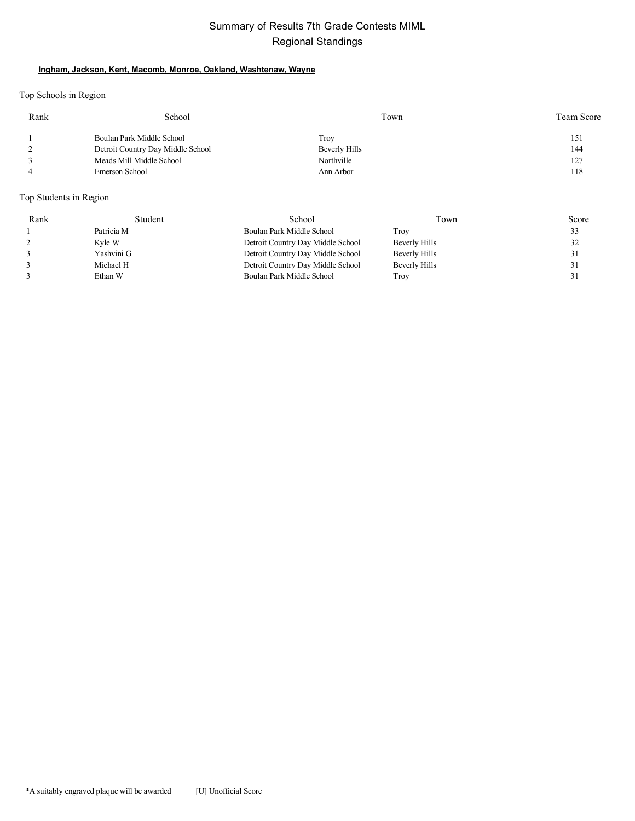### Summary of Results 7th Grade Contests MIML Regional Standings

#### **Ingham, Jackson, Kent, Macomb, Monroe, Oakland, Washtenaw, Wayne**

Top Schools in Region

| Rank | School                            | Town          | Team Score |
|------|-----------------------------------|---------------|------------|
|      | Boulan Park Middle School         | Troy          | 151        |
|      | Detroit Country Day Middle School | Beverly Hills | 144        |
|      | Meads Mill Middle School          | Northville    | 127        |
|      | Emerson School                    | Ann Arbor     | 118        |
|      |                                   |               |            |

### Top Students in Region

| Rank | Student    | School                            | Town          | Score |
|------|------------|-----------------------------------|---------------|-------|
|      | Patricia M | Boulan Park Middle School         | Trov          | 33    |
|      | Kyle W     | Detroit Country Day Middle School | Beverly Hills | 32    |
|      | Yashvini G | Detroit Country Day Middle School | Beverly Hills | 31    |
|      | Michael H  | Detroit Country Day Middle School | Beverly Hills | 31    |
|      | Ethan W    | Boulan Park Middle School         | Troy          | 31    |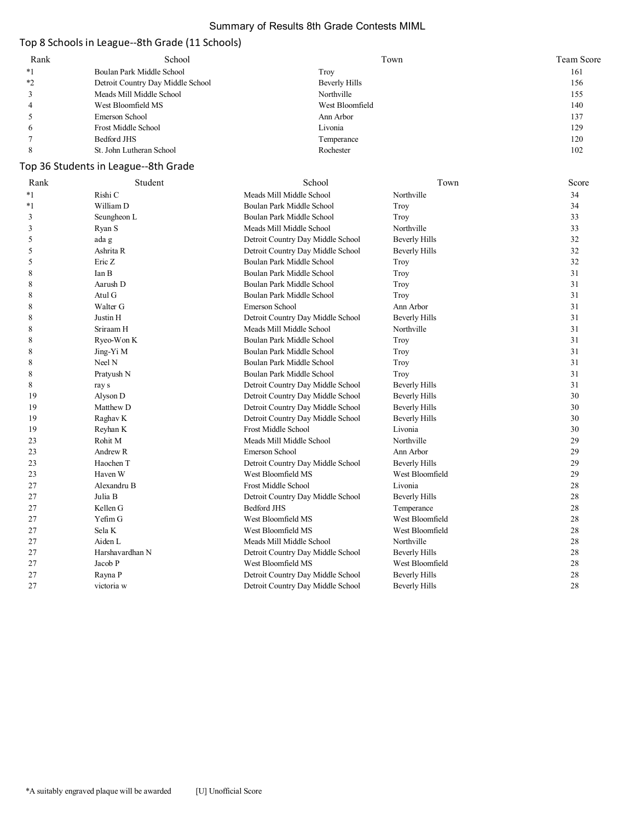### Summary of Results 8th Grade Contests MIML

# Top 8 Schools in League--8th Grade (11 Schools)

| Rank         | School                            | Town                 | Team Score |
|--------------|-----------------------------------|----------------------|------------|
| $*1$         | Boulan Park Middle School         | Troy                 | 161        |
| $*$          | Detroit Country Day Middle School | <b>Beverly Hills</b> | 156        |
|              | Meads Mill Middle School          | Northville           | 155        |
|              | West Bloomfield MS                | West Bloomfield      | 140        |
|              | Emerson School                    | Ann Arbor            | 137        |
| <sub>(</sub> | Frost Middle School               | Livonia              | 129        |
|              | Bedford JHS                       | Temperance           | 120        |
|              | St. John Lutheran School          | Rochester            | 102        |

# Top 36 Students in League--8th Grade

| Rank    | Student         | School                            | Town                 | Score |
|---------|-----------------|-----------------------------------|----------------------|-------|
| $*_{1}$ | Rishi C         | Meads Mill Middle School          | Northville           | 34    |
| $*_{1}$ | William D       | Boulan Park Middle School         | Troy                 | 34    |
| 3       | Seungheon L     | Boulan Park Middle School         | Troy                 | 33    |
| 3       | Ryan S          | Meads Mill Middle School          | Northville           | 33    |
| 5       | ada g           | Detroit Country Day Middle School | <b>Beverly Hills</b> | 32    |
| 5       | Ashrita R       | Detroit Country Day Middle School | Beverly Hills        | 32    |
| 5       | Eric Z          | Boulan Park Middle School         | Troy                 | 32    |
| 8       | Ian B           | Boulan Park Middle School         | Troy                 | 31    |
| 8       | Aarush D        | Boulan Park Middle School         | Troy                 | 31    |
| 8       | Atul G          | Boulan Park Middle School         | Troy                 | 31    |
| 8       | Walter G        | Emerson School                    | Ann Arbor            | 31    |
| 8       | Justin H        | Detroit Country Day Middle School | <b>Beverly Hills</b> | 31    |
| 8       | Sriraam H       | Meads Mill Middle School          | Northville           | 31    |
| 8       | Ryeo-Won K      | Boulan Park Middle School         | Troy                 | 31    |
| 8       | Jing-Yi M       | Boulan Park Middle School         | Troy                 | 31    |
| 8       | Neel N          | Boulan Park Middle School         | Troy                 | 31    |
| 8       | Pratyush N      | Boulan Park Middle School         | Troy                 | 31    |
| 8       | ray s           | Detroit Country Day Middle School | <b>Beverly Hills</b> | 31    |
| 19      | Alyson D        | Detroit Country Day Middle School | <b>Beverly Hills</b> | 30    |
| 19      | Matthew D       | Detroit Country Day Middle School | <b>Beverly Hills</b> | 30    |
| 19      | Raghav K        | Detroit Country Day Middle School | Beverly Hills        | 30    |
| 19      | Reyhan K        | Frost Middle School               | Livonia              | 30    |
| 23      | Rohit M         | Meads Mill Middle School          | Northville           | 29    |
| 23      | Andrew R        | Emerson School                    | Ann Arbor            | 29    |
| 23      | Haochen T       | Detroit Country Day Middle School | <b>Beverly Hills</b> | 29    |
| 23      | Haven W         | West Bloomfield MS                | West Bloomfield      | 29    |
| 27      | Alexandru B     | <b>Frost Middle School</b>        | Livonia              | 28    |
| 27      | Julia B         | Detroit Country Day Middle School | <b>Beverly Hills</b> | 28    |
| 27      | Kellen G        | <b>Bedford JHS</b>                | Temperance           | 28    |
| 27      | Yefim G         | West Bloomfield MS                | West Bloomfield      | 28    |
| 27      | Sela K          | West Bloomfield MS                | West Bloomfield      | 28    |
| 27      | Aiden L         | Meads Mill Middle School          | Northville           | 28    |
| 27      | Harshavardhan N | Detroit Country Day Middle School | <b>Beverly Hills</b> | 28    |
| 27      | Jacob P         | West Bloomfield MS                | West Bloomfield      | 28    |
| 27      | Rayna P         | Detroit Country Day Middle School | <b>Beverly Hills</b> | 28    |
| 27      | victoria w      | Detroit Country Day Middle School | Beverly Hills        | 28    |
|         |                 |                                   |                      |       |